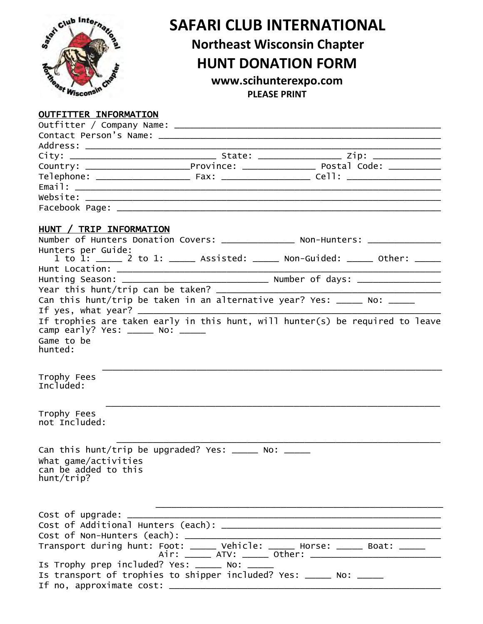

## **SAFARI CLUB INTERNATIONAL**

## **Northeast Wisconsin Chapter**

## **HUNT DONATION FORM**

**www.scihunterexpo.com PLEASE PRINT**

## OUTFITTER INFORMATION

| HUNT / TRIP INFORMATION                      |                                                                      |                                                                                  |
|----------------------------------------------|----------------------------------------------------------------------|----------------------------------------------------------------------------------|
|                                              |                                                                      | Number of Hunters Donation Covers: _______________ Non-Hunters: _______________  |
| Hunters per Guide:                           |                                                                      | 1 to 1: _____ 2 to 1: _____ Assisted: _____ Non-Guided: _____ Other: _____       |
|                                              |                                                                      |                                                                                  |
|                                              |                                                                      | Hunting Season: __________________________________ Number of days: _____________ |
|                                              |                                                                      |                                                                                  |
|                                              |                                                                      | Can this hunt/trip be taken in an alternative year? Yes: _____ No: ____          |
|                                              |                                                                      |                                                                                  |
|                                              |                                                                      | If trophies are taken early in this hunt, will hunter(s) be required to leave    |
|                                              |                                                                      |                                                                                  |
| Game to be<br>hunted:                        |                                                                      |                                                                                  |
|                                              |                                                                      |                                                                                  |
|                                              |                                                                      |                                                                                  |
| Trophy Fees<br>Included:                     |                                                                      |                                                                                  |
|                                              |                                                                      |                                                                                  |
| Trophy Fees                                  |                                                                      |                                                                                  |
| not Included:                                |                                                                      |                                                                                  |
|                                              |                                                                      |                                                                                  |
|                                              | Can this hunt/trip be upgraded? Yes: $\_\_\_\_\_$ No: $\_\_\_\_\_\_$ |                                                                                  |
|                                              |                                                                      |                                                                                  |
| What game/activities<br>can be added to this |                                                                      |                                                                                  |
| hunt/trip?                                   |                                                                      |                                                                                  |
|                                              |                                                                      |                                                                                  |
|                                              |                                                                      |                                                                                  |
| Cost of upgrade:                             |                                                                      |                                                                                  |
|                                              |                                                                      |                                                                                  |
|                                              |                                                                      |                                                                                  |
|                                              |                                                                      | Transport during hunt: Foot: _____ Vehicle: _____ Horse: _____ Boat: _____       |
|                                              |                                                                      | Air: _____ ATV: _____ Other: ____________________________                        |
|                                              | Is Trophy prep included? Yes: _____ No: ____                         |                                                                                  |
|                                              |                                                                      | Is transport of trophies to shipper included? Yes: _____ No: _____               |
| If no, approximate cost: ______              |                                                                      |                                                                                  |